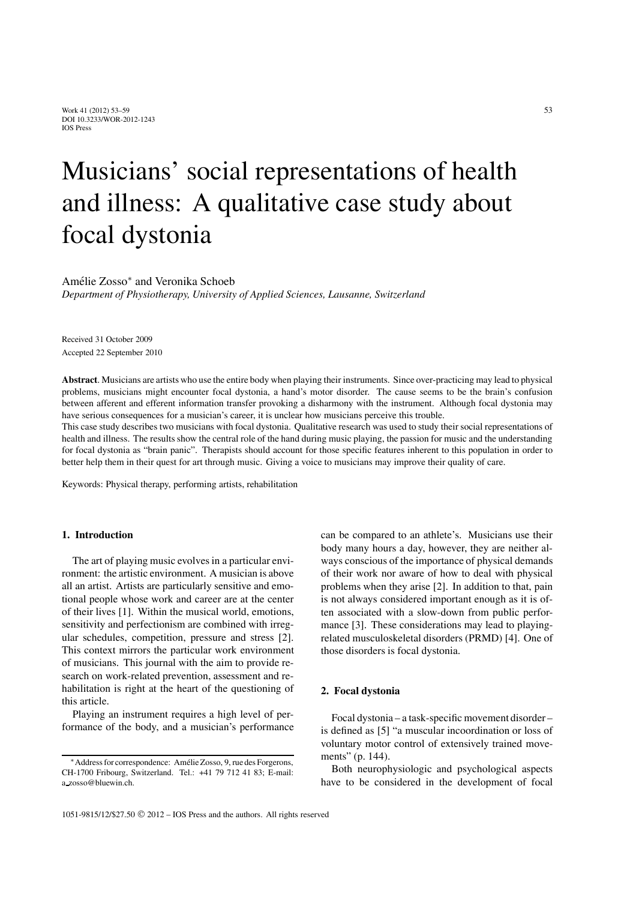# Musicians' social representations of health and illness: A qualitative case study about focal dystonia

Amélie Zosso\* and Veronika Schoeb

*Department of Physiotherapy, University of Applied Sciences, Lausanne, Switzerland*

Received 31 October 2009 Accepted 22 September 2010

**Abstract**. Musicians are artists who use the entire body when playing their instruments. Since over-practicing may lead to physical problems, musicians might encounter focal dystonia, a hand's motor disorder. The cause seems to be the brain's confusion between afferent and efferent information transfer provoking a disharmony with the instrument. Although focal dystonia may have serious consequences for a musician's career, it is unclear how musicians perceive this trouble.

This case study describes two musicians with focal dystonia. Qualitative research was used to study their social representations of health and illness. The results show the central role of the hand during music playing, the passion for music and the understanding for focal dystonia as "brain panic". Therapists should account for those specific features inherent to this population in order to better help them in their quest for art through music. Giving a voice to musicians may improve their quality of care.

Keywords: Physical therapy, performing artists, rehabilitation

# **1. Introduction**

The art of playing music evolves in a particular environment: the artistic environment. A musician is above all an artist. Artists are particularly sensitive and emotional people whose work and career are at the center of their lives [1]. Within the musical world, emotions, sensitivity and perfectionism are combined with irregular schedules, competition, pressure and stress [2]. This context mirrors the particular work environment of musicians. This journal with the aim to provide research on work-related prevention, assessment and rehabilitation is right at the heart of the questioning of this article.

Playing an instrument requires a high level of performance of the body, and a musician's performance can be compared to an athlete's. Musicians use their body many hours a day, however, they are neither always conscious of the importance of physical demands of their work nor aware of how to deal with physical problems when they arise [2]. In addition to that, pain is not always considered important enough as it is often associated with a slow-down from public performance [3]. These considerations may lead to playingrelated musculoskeletal disorders (PRMD) [4]. One of those disorders is focal dystonia.

#### **2. Focal dystonia**

Focal dystonia – a task-specific movement disorder – is defined as [5] "a muscular incoordination or loss of voluntary motor control of extensively trained movements" (p. 144).

Both neurophysiologic and psychological aspects have to be considered in the development of focal

<sup>∗</sup>Address for correspondence: Amelie Zosso, 9, rue des Forgerons, ´ CH-1700 Fribourg, Switzerland. Tel.: +41 79 712 41 83; E-mail: a zosso@bluewin.ch.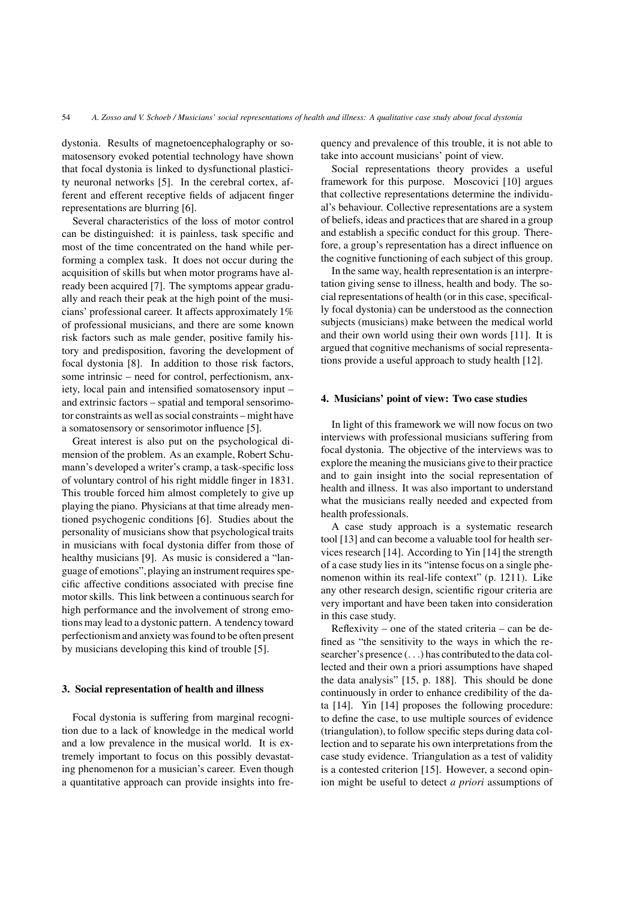dystonia. Results of magnetoencephalography or somatosensory evoked potential technology have shown that focal dystonia is linked to dysfunctional plasticity neuronal networks [5]. In the cerebral cortex, afferent and efferent receptive fields of adjacent finger representations are blurring [6].

Several characteristics of the loss of motor control can be distinguished: it is painless, task specific and most of the time concentrated on the hand while performing a complex task. It does not occur during the acquisition of skills but when motor programs have already been acquired [7]. The symptoms appear gradually and reach their peak at the high point of the musicians' professional career. It affects approximately 1% of professional musicians, and there are some known risk factors such as male gender, positive family history and predisposition, favoring the development of focal dystonia [8]. In addition to those risk factors, some intrinsic – need for control, perfectionism, anxiety, local pain and intensified somatosensory input – and extrinsic factors – spatial and temporal sensorimotor constraints as well as social constraints – might have a somatosensory or sensorimotor influence [5].

Great interest is also put on the psychological dimension of the problem. As an example, Robert Schumann's developed a writer's cramp, a task-specific loss of voluntary control of his right middle finger in 1831. This trouble forced him almost completely to give up playing the piano. Physicians at that time already mentioned psychogenic conditions [6]. Studies about the personality of musicians show that psychological traits in musicians with focal dystonia differ from those of healthy musicians [9]. As music is considered a "language of emotions", playing an instrument requires specific affective conditions associated with precise fine motor skills. This link between a continuous search for high performance and the involvement of strong emotions may lead to a dystonic pattern. A tendency toward perfectionism and anxiety was found to be often present by musicians developing this kind of trouble [5].

## **3. Social representation of health and illness**

Focal dystonia is suffering from marginal recognition due to a lack of knowledge in the medical world and a low prevalence in the musical world. It is extremely important to focus on this possibly devastating phenomenon for a musician's career. Even though a quantitative approach can provide insights into frequency and prevalence of this trouble, it is not able to take into account musicians' point of view.

Social representations theory provides a useful framework for this purpose. Moscovici [10] argues that collective representations determine the individual's behaviour. Collective representations are a system of beliefs, ideas and practices that are shared in a group and establish a specific conduct for this group. Therefore, a group's representation has a direct influence on the cognitive functioning of each subject of this group.

In the same way, health representation is an interpretation giving sense to illness, health and body. The social representations of health (or in this case, specifically focal dystonia) can be understood as the connection subjects (musicians) make between the medical world and their own world using their own words [11]. It is argued that cognitive mechanisms of social representations provide a useful approach to study health [12].

#### **4. Musicians' point of view: Two case studies**

In light of this framework we will now focus on two interviews with professional musicians suffering from focal dystonia. The objective of the interviews was to explore the meaning the musicians give to their practice and to gain insight into the social representation of health and illness. It was also important to understand what the musicians really needed and expected from health professionals.

A case study approach is a systematic research tool [13] and can become a valuable tool for health services research [14]. According to Yin [14] the strength of a case study lies in its "intense focus on a single phenomenon within its real-life context" (p. 1211). Like any other research design, scientific rigour criteria are very important and have been taken into consideration in this case study.

Reflexivity – one of the stated criteria – can be defined as "the sensitivity to the ways in which the researcher's presence (...) has contributed to the data collected and their own a priori assumptions have shaped the data analysis" [15, p. 188]. This should be done continuously in order to enhance credibility of the data [14]. Yin [14] proposes the following procedure: to define the case, to use multiple sources of evidence (triangulation), to follow specific steps during data collection and to separate his own interpretations from the case study evidence. Triangulation as a test of validity is a contested criterion [15]. However, a second opinion might be useful to detect *a priori* assumptions of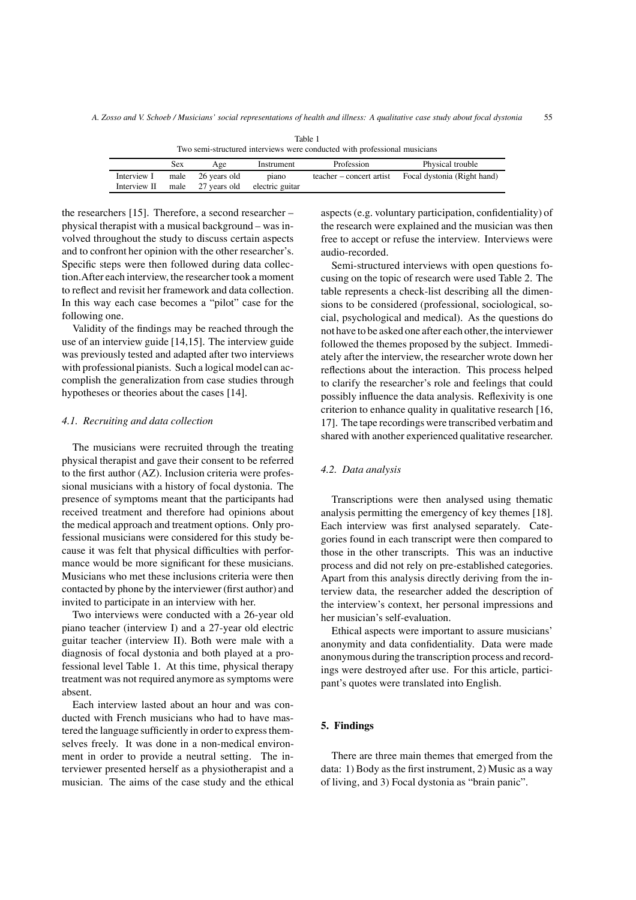|              |      |              |                 | Two semi-structured interviews were conducted with professional musicians |                             |
|--------------|------|--------------|-----------------|---------------------------------------------------------------------------|-----------------------------|
|              | Sex  | Age          | Instrument      | Profession                                                                | Physical trouble            |
| Interview I  | male | 26 vears old | piano           | teacher – concert artist                                                  | Focal dystonia (Right hand) |
| Interview II | male | 27 years old | electric guitar |                                                                           |                             |

Table 1

the researchers [15]. Therefore, a second researcher – physical therapist with a musical background – was involved throughout the study to discuss certain aspects and to confront her opinion with the other researcher's. Specific steps were then followed during data collection.After each interview, the researcher took a moment to reflect and revisit her framework and data collection. In this way each case becomes a "pilot" case for the following one.

Validity of the findings may be reached through the use of an interview guide [14,15]. The interview guide was previously tested and adapted after two interviews with professional pianists. Such a logical model can accomplish the generalization from case studies through hypotheses or theories about the cases [14].

## *4.1. Recruiting and data collection*

The musicians were recruited through the treating physical therapist and gave their consent to be referred to the first author (AZ). Inclusion criteria were professional musicians with a history of focal dystonia. The presence of symptoms meant that the participants had received treatment and therefore had opinions about the medical approach and treatment options. Only professional musicians were considered for this study because it was felt that physical difficulties with performance would be more significant for these musicians. Musicians who met these inclusions criteria were then contacted by phone by the interviewer (first author) and invited to participate in an interview with her.

Two interviews were conducted with a 26-year old piano teacher (interview I) and a 27-year old electric guitar teacher (interview II). Both were male with a diagnosis of focal dystonia and both played at a professional level Table 1. At this time, physical therapy treatment was not required anymore as symptoms were absent.

Each interview lasted about an hour and was conducted with French musicians who had to have mastered the language sufficiently in order to express themselves freely. It was done in a non-medical environment in order to provide a neutral setting. The interviewer presented herself as a physiotherapist and a musician. The aims of the case study and the ethical aspects (e.g. voluntary participation, confidentiality) of the research were explained and the musician was then free to accept or refuse the interview. Interviews were audio-recorded.

Semi-structured interviews with open questions focusing on the topic of research were used Table 2. The table represents a check-list describing all the dimensions to be considered (professional, sociological, social, psychological and medical). As the questions do not have to be asked one after each other, the interviewer followed the themes proposed by the subject. Immediately after the interview, the researcher wrote down her reflections about the interaction. This process helped to clarify the researcher's role and feelings that could possibly influence the data analysis. Reflexivity is one criterion to enhance quality in qualitative research [16, 17]. The tape recordings were transcribed verbatim and shared with another experienced qualitative researcher.

#### *4.2. Data analysis*

Transcriptions were then analysed using thematic analysis permitting the emergency of key themes [18]. Each interview was first analysed separately. Categories found in each transcript were then compared to those in the other transcripts. This was an inductive process and did not rely on pre-established categories. Apart from this analysis directly deriving from the interview data, the researcher added the description of the interview's context, her personal impressions and her musician's self-evaluation.

Ethical aspects were important to assure musicians' anonymity and data confidentiality. Data were made anonymous during the transcription process and recordings were destroyed after use. For this article, participant's quotes were translated into English.

# **5. Findings**

There are three main themes that emerged from the data: 1) Body as the first instrument, 2) Music as a way of living, and 3) Focal dystonia as "brain panic".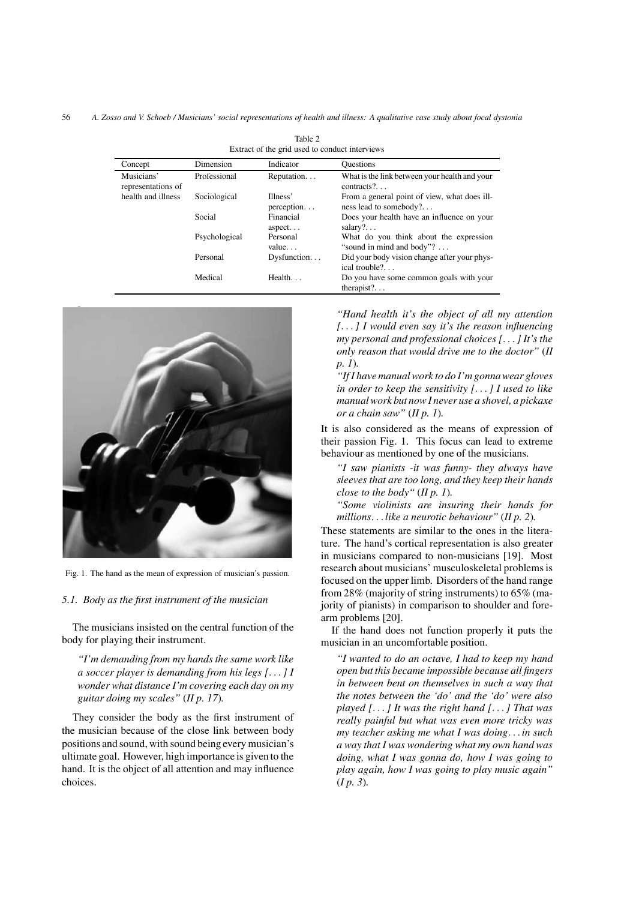56 *A. Zosso and V. Schoeb / Musicians' social representations of health and illness: A qualitative case study about focal dystonia*

| Concept                          | Dimension     | Indicator              | <b>Questions</b>                                                       |
|----------------------------------|---------------|------------------------|------------------------------------------------------------------------|
| Musicians'<br>representations of | Professional  | Reputation             | What is the link between your health and your<br>$contracts?$          |
| health and illness               | Sociological  | Illness'<br>perception | From a general point of view, what does ill-<br>ness lead to somebody? |
|                                  | Social        | Financial<br>$aspect.$ | Does your health have an influence on your<br>salary? $\ldots$         |
|                                  | Psychological | Personal<br>value      | What do you think about the expression<br>"sound in mind and body"?    |
|                                  | Personal      | Dysfunction            | Did your body vision change after your phys-<br>ical trouble?          |
|                                  | Medical       | Health. $\ldots$       | Do you have some common goals with your<br>therapist? $\ldots$         |

Table 2 Extract of the grid used to conduct interviews



Fig. 1. The hand as the mean of expression of musician's passion.

## *5.1. Body as the first instrument of the musician*

The musicians insisted on the central function of the body for playing their instrument.

*"I'm demanding from my hands the same work like a soccer player is demanding from his legs [...] I wonder what distance I'm covering each day on my guitar doing my scales"* (*II p. 17*)*.*

They consider the body as the first instrument of the musician because of the close link between body positions and sound, with sound being every musician's ultimate goal. However, high importance is given to the hand. It is the object of all attention and may influence choices.

*"Hand health it's the object of all my attention [...] I would even say it's the reason influencing my personal and professional choices [...] It's the only reason that would drive me to the doctor"* (*II p. 1*)*.*

*"If I have manual work to do I'm gonna wear gloves in order to keep the sensitivity [...] I used to like manual work but now I never use a shovel, a pickaxe or a chain saw"* (*II p. 1*)*.*

It is also considered as the means of expression of their passion Fig. 1. This focus can lead to extreme behaviour as mentioned by one of the musicians.

*"I saw pianists -it was funny- they always have sleeves that are too long, and they keep their hands close to the body"* (*II p. 1*)*.*

*"Some violinists are insuring their hands for millions... like a neurotic behaviour"* (*II p. 2*)*.*

These statements are similar to the ones in the literature. The hand's cortical representation is also greater in musicians compared to non-musicians [19]. Most research about musicians' musculoskeletal problems is focused on the upper limb. Disorders of the hand range from 28% (majority of string instruments) to 65% (majority of pianists) in comparison to shoulder and forearm problems [20].

If the hand does not function properly it puts the musician in an uncomfortable position.

*"I wanted to do an octave, I had to keep my hand open but this became impossible because all fingers in between bent on themselves in such a way that the notes between the 'do' and the 'do' were also played [...] It was the right hand [...] That was really painful but what was even more tricky was my teacher asking me what I was doing... in such a way that I was wondering what my own hand was doing, what I was gonna do, how I was going to play again, how I was going to play music again"* (*I p. 3*)*.*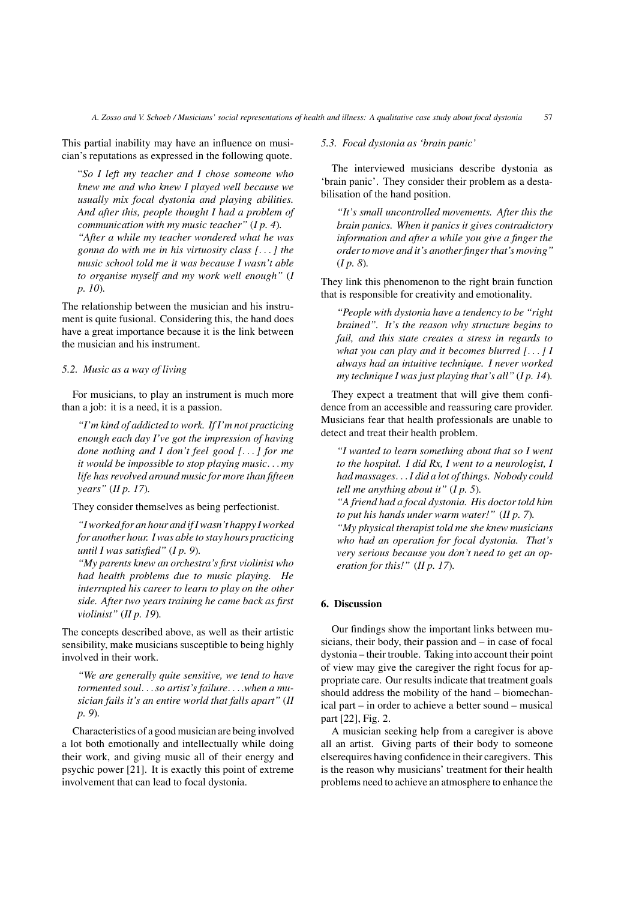This partial inability may have an influence on musician's reputations as expressed in the following quote.

"*So I left my teacher and I chose someone who knew me and who knew I played well because we usually mix focal dystonia and playing abilities. And after this, people thought I had a problem of communication with my music teacher"* (*I p. 4*)*. "After a while my teacher wondered what he was gonna do with me in his virtuosity class [...] the music school told me it was because I wasn't able to organise myself and my work well enough"* (*I*

The relationship between the musician and his instrument is quite fusional. Considering this, the hand does have a great importance because it is the link between the musician and his instrument.

## *5.2. Music as a way of living*

*p. 10*)*.*

For musicians, to play an instrument is much more than a job: it is a need, it is a passion.

*"I'm kind of addicted to work. If I'm not practicing enough each day I've got the impression of having done nothing and I don't feel good [...] for me it would be impossible to stop playing music... my life has revolved around music for more than fifteen years"* (*II p. 17*)*.*

They consider themselves as being perfectionist.

*"I worked for an hour and if I wasn't happy I worked for another hour. I was able to stay hours practicing until I was satisfied"* (*I p. 9*)*.*

*"My parents knew an orchestra's first violinist who had health problems due to music playing. He interrupted his career to learn to play on the other side. After two years training he came back as first violinist"* (*II p. 19*)*.*

The concepts described above, as well as their artistic sensibility, make musicians susceptible to being highly involved in their work.

*"We are generally quite sensitive, we tend to have tormented soul...so artist's failure... .when a musician fails it's an entire world that falls apart"* (*II p. 9*)*.*

Characteristics of a good musician are being involved a lot both emotionally and intellectually while doing their work, and giving music all of their energy and psychic power [21]. It is exactly this point of extreme involvement that can lead to focal dystonia.

*5.3. Focal dystonia as 'brain panic'*

The interviewed musicians describe dystonia as 'brain panic'. They consider their problem as a destabilisation of the hand position.

*"It's small uncontrolled movements. After this the brain panics. When it panics it gives contradictory information and after a while you give a finger the order to move and it's another finger that's moving"* (*I p. 8*)*.*

They link this phenomenon to the right brain function that is responsible for creativity and emotionality.

*"People with dystonia have a tendency to be "right brained". It's the reason why structure begins to fail, and this state creates a stress in regards to what you can play and it becomes blurred [...] I always had an intuitive technique. I never worked my technique I was just playing that's all"* (*I p. 14*)*.*

They expect a treatment that will give them confidence from an accessible and reassuring care provider. Musicians fear that health professionals are unable to detect and treat their health problem.

*"I wanted to learn something about that so I went to the hospital. I did Rx, I went to a neurologist, I had massages...I did a lot of things. Nobody could tell me anything about it"* (*I p. 5*)*.*

*"A friend had a focal dystonia. His doctor told him to put his hands under warm water!"* (*II p. 7*)*.*

*"My physical therapist told me she knew musicians who had an operation for focal dystonia. That's very serious because you don't need to get an operation for this!"* (*II p. 17*)*.*

# **6. Discussion**

Our findings show the important links between musicians, their body, their passion and – in case of focal dystonia – their trouble. Taking into account their point of view may give the caregiver the right focus for appropriate care. Our results indicate that treatment goals should address the mobility of the hand – biomechanical part – in order to achieve a better sound – musical part [22], Fig. 2.

A musician seeking help from a caregiver is above all an artist. Giving parts of their body to someone elserequires having confidence in their caregivers. This is the reason why musicians' treatment for their health problems need to achieve an atmosphere to enhance the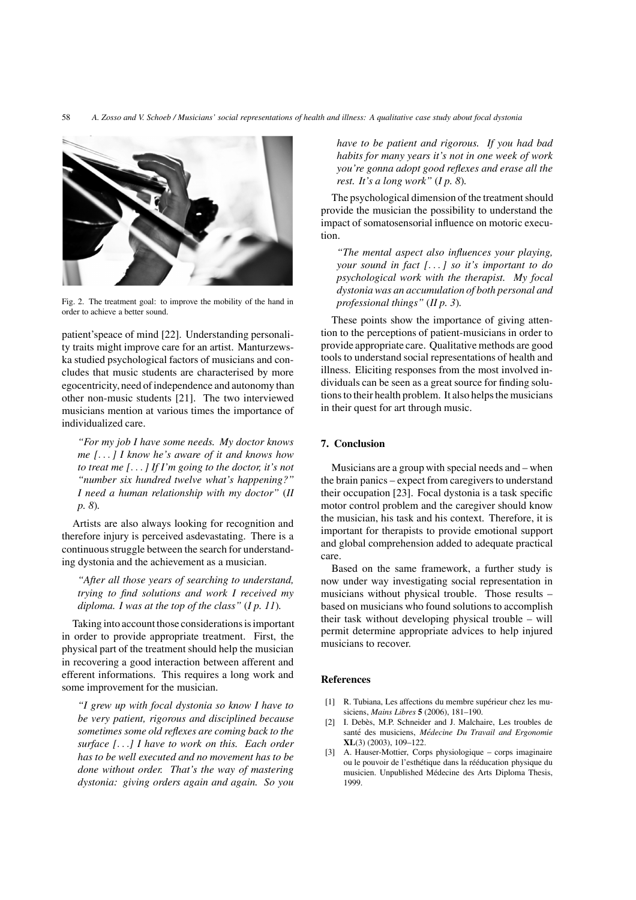

Fig. 2. The treatment goal: to improve the mobility of the hand in order to achieve a better sound.

patient'speace of mind [22]. Understanding personality traits might improve care for an artist. Manturzewska studied psychological factors of musicians and concludes that music students are characterised by more egocentricity, need of independence and autonomy than other non-music students [21]. The two interviewed musicians mention at various times the importance of individualized care.

*"For my job I have some needs. My doctor knows me [...] I know he's aware of it and knows how to treat me [...] If I'm going to the doctor, it's not "number six hundred twelve what's happening?" I need a human relationship with my doctor"* (*II p. 8*)*.*

Artists are also always looking for recognition and therefore injury is perceived asdevastating. There is a continuous struggle between the search for understanding dystonia and the achievement as a musician.

*"After all those years of searching to understand, trying to find solutions and work I received my diploma. I was at the top of the class"* (*I p. 11*)*.*

Taking into account those considerations is important in order to provide appropriate treatment. First, the physical part of the treatment should help the musician in recovering a good interaction between afferent and efferent informations. This requires a long work and some improvement for the musician.

*"I grew up with focal dystonia so know I have to be very patient, rigorous and disciplined because sometimes some old reflexes are coming back to the surface [...] I have to work on this. Each order has to be well executed and no movement has to be done without order. That's the way of mastering dystonia: giving orders again and again. So you* *have to be patient and rigorous. If you had bad habits for many years it's not in one week of work you're gonna adopt good reflexes and erase all the rest. It's a long work"* (*I p. 8*)*.*

The psychological dimension of the treatment should provide the musician the possibility to understand the impact of somatosensorial influence on motoric execution.

*"The mental aspect also influences your playing, your sound in fact [...] so it's important to do psychological work with the therapist. My focal dystonia was an accumulation of both personal and professional things"* (*II p. 3*)*.*

These points show the importance of giving attention to the perceptions of patient-musicians in order to provide appropriate care. Qualitative methods are good tools to understand social representations of health and illness. Eliciting responses from the most involved individuals can be seen as a great source for finding solutions to their health problem. It also helps the musicians in their quest for art through music.

#### **7. Conclusion**

Musicians are a group with special needs and – when the brain panics – expect from caregivers to understand their occupation [23]. Focal dystonia is a task specific motor control problem and the caregiver should know the musician, his task and his context. Therefore, it is important for therapists to provide emotional support and global comprehension added to adequate practical care.

Based on the same framework, a further study is now under way investigating social representation in musicians without physical trouble. Those results – based on musicians who found solutions to accomplish their task without developing physical trouble – will permit determine appropriate advices to help injured musicians to recover.

# **References**

- [1] R. Tubiana, Les affections du membre supérieur chez les musiciens, *Mains Libres* **5** (2006), 181–190.
- [2] I. Debès, M.P. Schneider and J. Malchaire, Les troubles de santé des musiciens, Médecine Du Travail and Ergonomie **XL**(3) (2003), 109–122.
- [3] A. Hauser-Mottier, Corps physiologique corps imaginaire ou le pouvoir de l'esthétique dans la rééducation physique du musicien. Unpublished Medecine des Arts Diploma Thesis, ´ 1999.